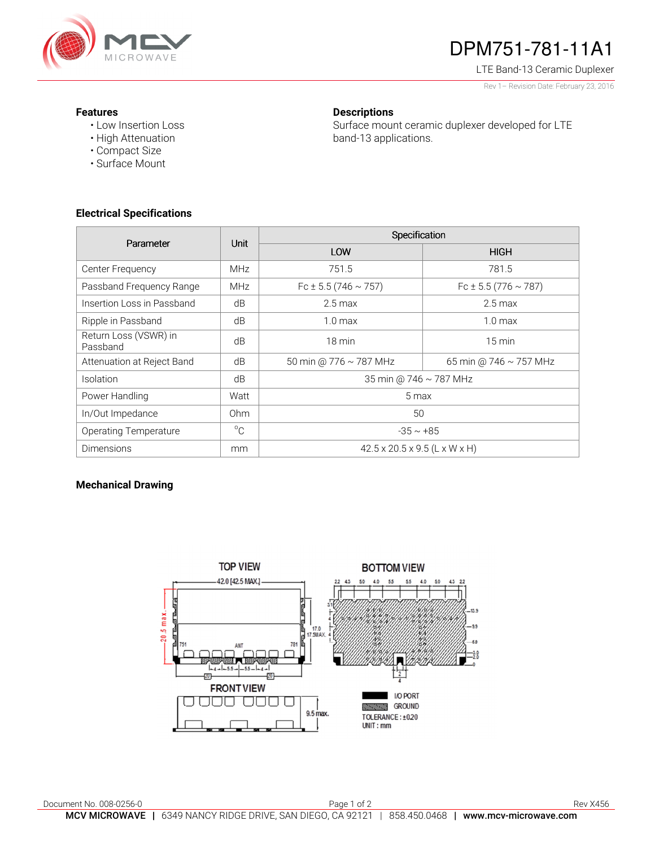

# DPM751-781-11A1

LTE Band-13 Ceramic Duplexer

Rev 1– Revision Date: February 23, 2016

#### **Features**

• Low Insertion Loss • High Attenuation

• Compact Size • Surface Mount

#### **Descriptions**

Surface mount ceramic duplexer developed for LTE band-13 applications.

## **Electrical Specifications**

| Parameter                         | <b>Unit</b>     | Specification                             |                               |
|-----------------------------------|-----------------|-------------------------------------------|-------------------------------|
|                                   |                 | LOW                                       | <b>HIGH</b>                   |
| Center Frequency                  | <b>MHz</b>      | 751.5                                     | 781.5                         |
| Passband Frequency Range          | <b>MHz</b>      | Fc $\pm$ 5.5 (746 $\sim$ 757)             | Fc $\pm$ 5.5 (776 $\sim$ 787) |
| Insertion Loss in Passband        | dB              | $2.5 \text{ max}$                         | $2.5 \text{ max}$             |
| Ripple in Passband                | dB              | $1.0 \text{ max}$                         | 1.0 <sub>max</sub>            |
| Return Loss (VSWR) in<br>Passband | dB              | 18 min                                    | $15 \text{ min}$              |
| Attenuation at Reject Band        | dB              | 50 min @ 776 ~ 787 MHz                    | 65 min @ 746 $\sim$ 757 MHz   |
| <b>Isolation</b>                  | dB              | 35 min @ 746 ~ 787 MHz                    |                               |
| Power Handling                    | Watt            | 5 max                                     |                               |
| In/Out Impedance                  | 0 <sub>hm</sub> | 50                                        |                               |
| <b>Operating Temperature</b>      | $^{\circ}$ C    | $-35 \sim +85$                            |                               |
| <b>Dimensions</b>                 | mm              | $42.5 \times 20.5 \times 9.5$ (L x W x H) |                               |

### **Mechanical Drawing**